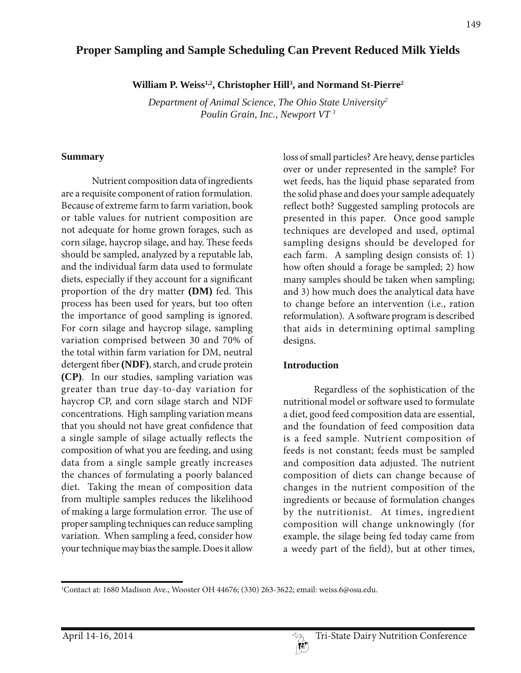# **Proper Sampling and Sample Scheduling Can Prevent Reduced Milk Yields**

William P. Weiss<sup>1,2</sup>, Christopher Hill<sup>3</sup>, and Normand St-Pierre<sup>2</sup>

*Department of Animal Science, The Ohio State University2 Poulin Grain, Inc., Newport VT 3*

#### **Summary**

Nutrient composition data of ingredients are a requisite component of ration formulation. Because of extreme farm to farm variation, book or table values for nutrient composition are not adequate for home grown forages, such as corn silage, haycrop silage, and hay. These feeds should be sampled, analyzed by a reputable lab, and the individual farm data used to formulate diets, especially if they account for a significant proportion of the dry matter **(DM)** fed. This process has been used for years, but too often the importance of good sampling is ignored. For corn silage and haycrop silage, sampling variation comprised between 30 and 70% of the total within farm variation for DM, neutral detergent fiber **(NDF)**, starch, and crude protein **(CP)**. In our studies, sampling variation was greater than true day-to-day variation for haycrop CP, and corn silage starch and NDF concentrations. High sampling variation means that you should not have great confidence that a single sample of silage actually reflects the composition of what you are feeding, and using data from a single sample greatly increases the chances of formulating a poorly balanced diet. Taking the mean of composition data from multiple samples reduces the likelihood of making a large formulation error. The use of proper sampling techniques can reduce sampling variation. When sampling a feed, consider how your technique may bias the sample. Does it allow

loss of small particles? Are heavy, dense particles over or under represented in the sample? For wet feeds, has the liquid phase separated from the solid phase and does your sample adequately reflect both? Suggested sampling protocols are presented in this paper. Once good sample techniques are developed and used, optimal sampling designs should be developed for each farm. A sampling design consists of: 1) how often should a forage be sampled; 2) how many samples should be taken when sampling; and 3) how much does the analytical data have to change before an intervention (i.e., ration reformulation). A software program is described that aids in determining optimal sampling designs.

#### **Introduction**

Regardless of the sophistication of the nutritional model or software used to formulate a diet, good feed composition data are essential, and the foundation of feed composition data is a feed sample. Nutrient composition of feeds is not constant; feeds must be sampled and composition data adjusted. The nutrient composition of diets can change because of changes in the nutrient composition of the ingredients or because of formulation changes by the nutritionist. At times, ingredient composition will change unknowingly (for example, the silage being fed today came from a weedy part of the field), but at other times,

<sup>1</sup> Contact at: 1680 Madison Ave., Wooster OH 44676; (330) 263-3622; email: weiss.6@osu.edu.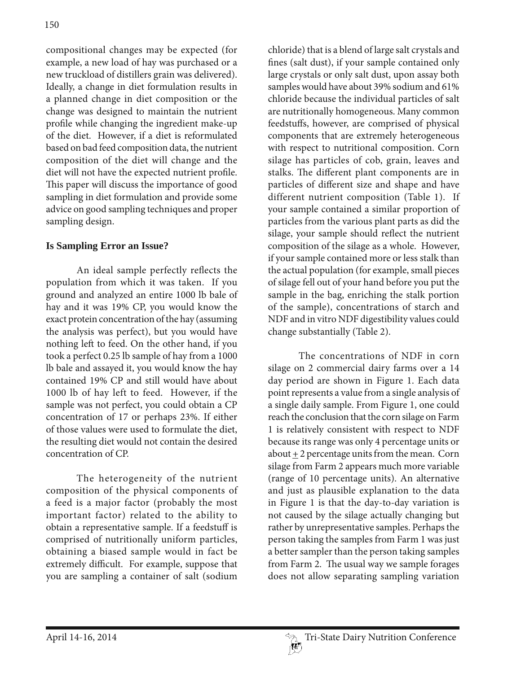compositional changes may be expected (for example, a new load of hay was purchased or a new truckload of distillers grain was delivered). Ideally, a change in diet formulation results in a planned change in diet composition or the change was designed to maintain the nutrient profile while changing the ingredient make-up of the diet. However, if a diet is reformulated based on bad feed composition data, the nutrient composition of the diet will change and the diet will not have the expected nutrient profile. This paper will discuss the importance of good sampling in diet formulation and provide some advice on good sampling techniques and proper sampling design.

## **Is Sampling Error an Issue?**

An ideal sample perfectly reflects the population from which it was taken. If you ground and analyzed an entire 1000 lb bale of hay and it was 19% CP, you would know the exact protein concentration of the hay (assuming the analysis was perfect), but you would have nothing left to feed. On the other hand, if you took a perfect 0.25 lb sample of hay from a 1000 lb bale and assayed it, you would know the hay contained 19% CP and still would have about 1000 lb of hay left to feed. However, if the sample was not perfect, you could obtain a CP concentration of 17 or perhaps 23%. If either of those values were used to formulate the diet, the resulting diet would not contain the desired concentration of CP.

The heterogeneity of the nutrient composition of the physical components of a feed is a major factor (probably the most important factor) related to the ability to obtain a representative sample. If a feedstuff is comprised of nutritionally uniform particles, obtaining a biased sample would in fact be extremely difficult. For example, suppose that you are sampling a container of salt (sodium

chloride) that is a blend of large salt crystals and fines (salt dust), if your sample contained only large crystals or only salt dust, upon assay both samples would have about 39% sodium and 61% chloride because the individual particles of salt are nutritionally homogeneous. Many common feedstuffs, however, are comprised of physical components that are extremely heterogeneous with respect to nutritional composition. Corn silage has particles of cob, grain, leaves and stalks. The different plant components are in particles of different size and shape and have different nutrient composition (Table 1). If your sample contained a similar proportion of particles from the various plant parts as did the silage, your sample should reflect the nutrient composition of the silage as a whole. However, if your sample contained more or less stalk than the actual population (for example, small pieces of silage fell out of your hand before you put the sample in the bag, enriching the stalk portion of the sample), concentrations of starch and NDF and in vitro NDF digestibility values could change substantially (Table 2).

The concentrations of NDF in corn silage on 2 commercial dairy farms over a 14 day period are shown in Figure 1. Each data point represents a value from a single analysis of a single daily sample. From Figure 1, one could reach the conclusion that the corn silage on Farm 1 is relatively consistent with respect to NDF because its range was only 4 percentage units or about  $\pm 2$  percentage units from the mean. Corn silage from Farm 2 appears much more variable (range of 10 percentage units). An alternative and just as plausible explanation to the data in Figure 1 is that the day-to-day variation is not caused by the silage actually changing but rather by unrepresentative samples. Perhaps the person taking the samples from Farm 1 was just a better sampler than the person taking samples from Farm 2. The usual way we sample forages does not allow separating sampling variation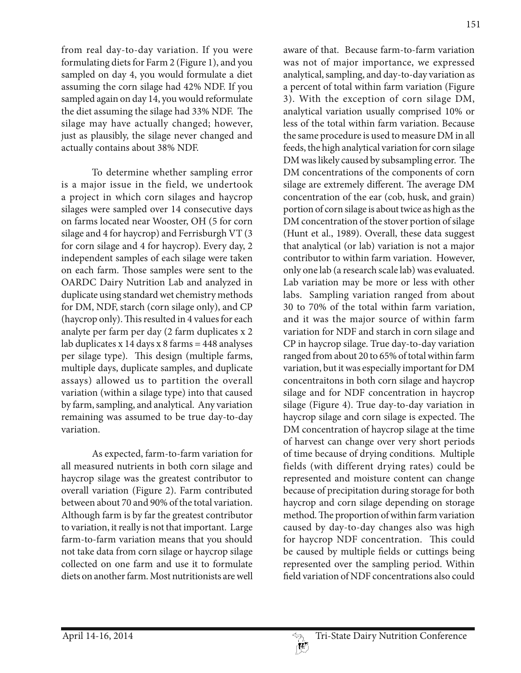from real day-to-day variation. If you were formulating diets for Farm 2 (Figure 1), and you sampled on day 4, you would formulate a diet assuming the corn silage had 42% NDF. If you sampled again on day 14, you would reformulate the diet assuming the silage had 33% NDF. The silage may have actually changed; however, just as plausibly, the silage never changed and actually contains about 38% NDF.

To determine whether sampling error is a major issue in the field, we undertook a project in which corn silages and haycrop silages were sampled over 14 consecutive days on farms located near Wooster, OH (5 for corn silage and 4 for haycrop) and Ferrisburgh VT (3 for corn silage and 4 for haycrop). Every day, 2 independent samples of each silage were taken on each farm. Those samples were sent to the OARDC Dairy Nutrition Lab and analyzed in duplicate using standard wet chemistry methods for DM, NDF, starch (corn silage only), and CP (haycrop only). This resulted in 4 values for each analyte per farm per day (2 farm duplicates x 2 lab duplicates x 14 days x 8 farms = 448 analyses per silage type). This design (multiple farms, multiple days, duplicate samples, and duplicate assays) allowed us to partition the overall variation (within a silage type) into that caused by farm, sampling, and analytical. Any variation remaining was assumed to be true day-to-day variation.

As expected, farm-to-farm variation for all measured nutrients in both corn silage and haycrop silage was the greatest contributor to overall variation (Figure 2). Farm contributed between about 70 and 90% of the total variation. Although farm is by far the greatest contributor to variation, it really is not that important. Large farm-to-farm variation means that you should not take data from corn silage or haycrop silage collected on one farm and use it to formulate diets on another farm. Most nutritionists are well

aware of that. Because farm-to-farm variation was not of major importance, we expressed analytical, sampling, and day-to-day variation as a percent of total within farm variation (Figure 3). With the exception of corn silage DM, analytical variation usually comprised 10% or less of the total within farm variation. Because the same procedure is used to measure DM in all feeds, the high analytical variation for corn silage DM was likely caused by subsampling error. The DM concentrations of the components of corn silage are extremely different. The average DM concentration of the ear (cob, husk, and grain) portion of corn silage is about twice as high as the DM concentration of the stover portion of silage (Hunt et al., 1989). Overall, these data suggest that analytical (or lab) variation is not a major contributor to within farm variation. However, only one lab (a research scale lab) was evaluated. Lab variation may be more or less with other labs. Sampling variation ranged from about 30 to 70% of the total within farm variation, and it was the major source of within farm variation for NDF and starch in corn silage and CP in haycrop silage. True day-to-day variation ranged from about 20 to 65% of total within farm variation, but it was especially important for DM concentraitons in both corn silage and haycrop silage and for NDF concentration in haycrop silage (Figure 4). True day-to-day variation in haycrop silage and corn silage is expected. The DM concentration of haycrop silage at the time of harvest can change over very short periods of time because of drying conditions. Multiple fields (with different drying rates) could be represented and moisture content can change because of precipitation during storage for both haycrop and corn silage depending on storage method. The proportion of within farm variation caused by day-to-day changes also was high for haycrop NDF concentration. This could be caused by multiple fields or cuttings being represented over the sampling period. Within field variation of NDF concentrations also could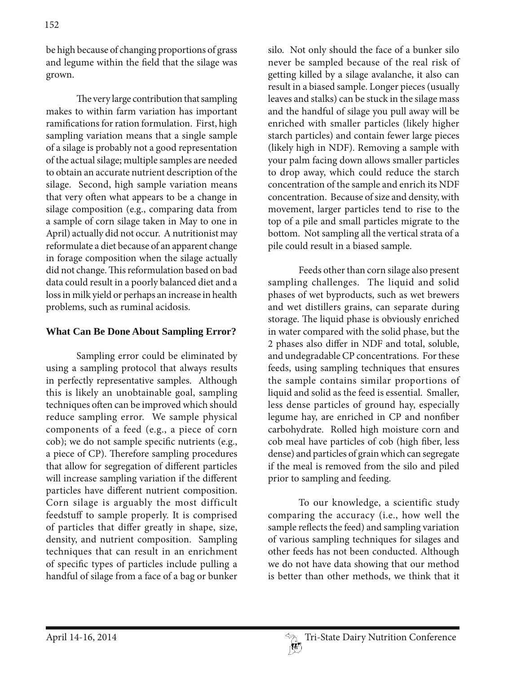be high because of changing proportions of grass and legume within the field that the silage was grown.

The very large contribution that sampling makes to within farm variation has important ramifications for ration formulation. First, high sampling variation means that a single sample of a silage is probably not a good representation of the actual silage; multiple samples are needed to obtain an accurate nutrient description of the silage. Second, high sample variation means that very often what appears to be a change in silage composition (e.g., comparing data from a sample of corn silage taken in May to one in April) actually did not occur. A nutritionist may reformulate a diet because of an apparent change in forage composition when the silage actually did not change. This reformulation based on bad data could result in a poorly balanced diet and a loss in milk yield or perhaps an increase in health problems, such as ruminal acidosis.

### **What Can Be Done About Sampling Error?**

Sampling error could be eliminated by using a sampling protocol that always results in perfectly representative samples. Although this is likely an unobtainable goal, sampling techniques often can be improved which should reduce sampling error. We sample physical components of a feed (e.g., a piece of corn cob); we do not sample specific nutrients (e.g., a piece of CP). Therefore sampling procedures that allow for segregation of different particles will increase sampling variation if the different particles have different nutrient composition. Corn silage is arguably the most difficult feedstuff to sample properly. It is comprised of particles that differ greatly in shape, size, density, and nutrient composition. Sampling techniques that can result in an enrichment of specific types of particles include pulling a handful of silage from a face of a bag or bunker

silo. Not only should the face of a bunker silo never be sampled because of the real risk of getting killed by a silage avalanche, it also can result in a biased sample. Longer pieces (usually leaves and stalks) can be stuck in the silage mass and the handful of silage you pull away will be enriched with smaller particles (likely higher starch particles) and contain fewer large pieces (likely high in NDF). Removing a sample with your palm facing down allows smaller particles to drop away, which could reduce the starch concentration of the sample and enrich its NDF concentration. Because of size and density, with movement, larger particles tend to rise to the top of a pile and small particles migrate to the bottom. Not sampling all the vertical strata of a pile could result in a biased sample.

Feeds other than corn silage also present sampling challenges. The liquid and solid phases of wet byproducts, such as wet brewers and wet distillers grains, can separate during storage. The liquid phase is obviously enriched in water compared with the solid phase, but the 2 phases also differ in NDF and total, soluble, and undegradable CP concentrations. For these feeds, using sampling techniques that ensures the sample contains similar proportions of liquid and solid as the feed is essential. Smaller, less dense particles of ground hay, especially legume hay, are enriched in CP and nonfiber carbohydrate. Rolled high moisture corn and cob meal have particles of cob (high fiber, less dense) and particles of grain which can segregate if the meal is removed from the silo and piled prior to sampling and feeding.

To our knowledge, a scientific study comparing the accuracy (i.e., how well the sample reflects the feed) and sampling variation of various sampling techniques for silages and other feeds has not been conducted. Although we do not have data showing that our method is better than other methods, we think that it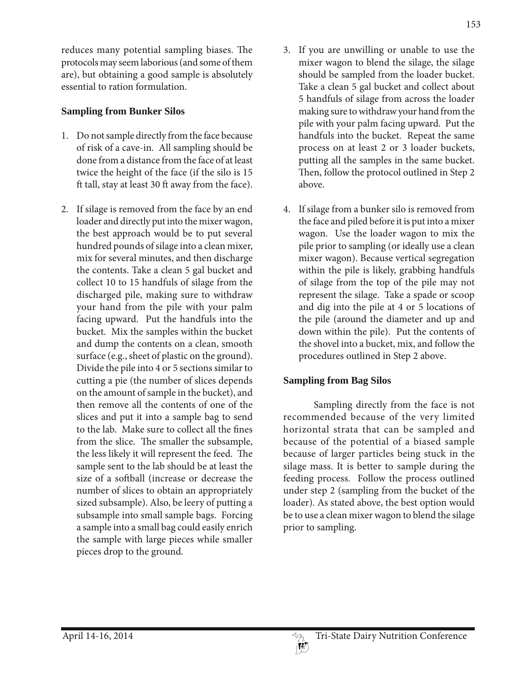reduces many potential sampling biases. The protocols may seem laborious (and some of them are), but obtaining a good sample is absolutely essential to ration formulation.

## **Sampling from Bunker Silos**

- 1. Do not sample directly from the face because of risk of a cave-in. All sampling should be done from a distance from the face of at least twice the height of the face (if the silo is 15 ft tall, stay at least 30 ft away from the face).
- 2. If silage is removed from the face by an end loader and directly put into the mixer wagon, the best approach would be to put several hundred pounds of silage into a clean mixer, mix for several minutes, and then discharge the contents. Take a clean 5 gal bucket and collect 10 to 15 handfuls of silage from the discharged pile, making sure to withdraw your hand from the pile with your palm facing upward. Put the handfuls into the bucket. Mix the samples within the bucket and dump the contents on a clean, smooth surface (e.g., sheet of plastic on the ground). Divide the pile into 4 or 5 sections similar to cutting a pie (the number of slices depends on the amount of sample in the bucket), and then remove all the contents of one of the slices and put it into a sample bag to send to the lab. Make sure to collect all the fines from the slice. The smaller the subsample, the less likely it will represent the feed. The sample sent to the lab should be at least the size of a softball (increase or decrease the number of slices to obtain an appropriately sized subsample). Also, be leery of putting a subsample into small sample bags. Forcing a sample into a small bag could easily enrich the sample with large pieces while smaller pieces drop to the ground.
- 3. If you are unwilling or unable to use the mixer wagon to blend the silage, the silage should be sampled from the loader bucket. Take a clean 5 gal bucket and collect about 5 handfuls of silage from across the loader making sure to withdraw your hand from the pile with your palm facing upward. Put the handfuls into the bucket. Repeat the same process on at least 2 or 3 loader buckets, putting all the samples in the same bucket. Then, follow the protocol outlined in Step 2 above.
- 4. If silage from a bunker silo is removed from the face and piled before it is put into a mixer wagon. Use the loader wagon to mix the pile prior to sampling (or ideally use a clean mixer wagon). Because vertical segregation within the pile is likely, grabbing handfuls of silage from the top of the pile may not represent the silage. Take a spade or scoop and dig into the pile at 4 or 5 locations of the pile (around the diameter and up and down within the pile). Put the contents of the shovel into a bucket, mix, and follow the procedures outlined in Step 2 above.

# **Sampling from Bag Silos**

Sampling directly from the face is not recommended because of the very limited horizontal strata that can be sampled and because of the potential of a biased sample because of larger particles being stuck in the silage mass. It is better to sample during the feeding process. Follow the process outlined under step 2 (sampling from the bucket of the loader). As stated above, the best option would be to use a clean mixer wagon to blend the silage prior to sampling.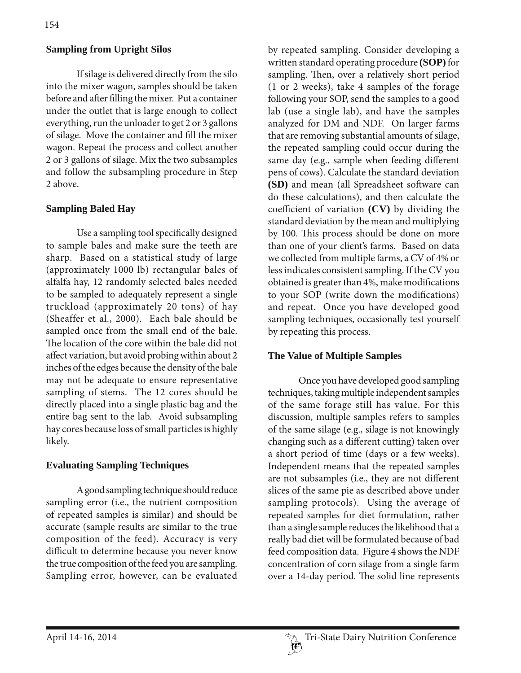### **Sampling from Upright Silos**

If silage is delivered directly from the silo into the mixer wagon, samples should be taken before and after filling the mixer. Put a container under the outlet that is large enough to collect everything, run the unloader to get 2 or 3 gallons of silage. Move the container and fill the mixer wagon. Repeat the process and collect another 2 or 3 gallons of silage. Mix the two subsamples and follow the subsampling procedure in Step 2 above.

#### **Sampling Baled Hay**

Use a sampling tool specifically designed to sample bales and make sure the teeth are sharp. Based on a statistical study of large (approximately 1000 lb) rectangular bales of alfalfa hay, 12 randomly selected bales needed to be sampled to adequately represent a single truckload (approximately 20 tons) of hay (Sheaffer et al., 2000). Each bale should be sampled once from the small end of the bale. The location of the core within the bale did not affect variation, but avoid probing within about 2 inches of the edges because the density of the bale may not be adequate to ensure representative sampling of stems. The 12 cores should be directly placed into a single plastic bag and the entire bag sent to the lab. Avoid subsampling hay cores because loss of small particles is highly likely.

#### **Evaluating Sampling Techniques**

A good sampling technique should reduce sampling error (i.e., the nutrient composition of repeated samples is similar) and should be accurate (sample results are similar to the true composition of the feed). Accuracy is very difficult to determine because you never know the true composition of the feed you are sampling. Sampling error, however, can be evaluated

by repeated sampling. Consider developing a written standard operating procedure **(SOP)** for sampling. Then, over a relatively short period (1 or 2 weeks), take 4 samples of the forage following your SOP, send the samples to a good lab (use a single lab), and have the samples analyzed for DM and NDF. On larger farms that are removing substantial amounts of silage, the repeated sampling could occur during the same day (e.g., sample when feeding different pens of cows). Calculate the standard deviation **(SD)** and mean (all Spreadsheet software can do these calculations), and then calculate the coefficient of variation **(CV)** by dividing the standard deviation by the mean and multiplying by 100. This process should be done on more than one of your client's farms. Based on data we collected from multiple farms, a CV of 4% or less indicates consistent sampling. If the CV you obtained is greater than 4%, make modifications to your SOP (write down the modifications) and repeat. Once you have developed good sampling techniques, occasionally test yourself by repeating this process.

#### **The Value of Multiple Samples**

Once you have developed good sampling techniques, taking multiple independent samples of the same forage still has value. For this discussion, multiple samples refers to samples of the same silage (e.g., silage is not knowingly changing such as a different cutting) taken over a short period of time (days or a few weeks). Independent means that the repeated samples are not subsamples (i.e., they are not different slices of the same pie as described above under sampling protocols). Using the average of repeated samples for diet formulation, rather than a single sample reduces the likelihood that a really bad diet will be formulated because of bad feed composition data. Figure 4 shows the NDF concentration of corn silage from a single farm over a 14-day period. The solid line represents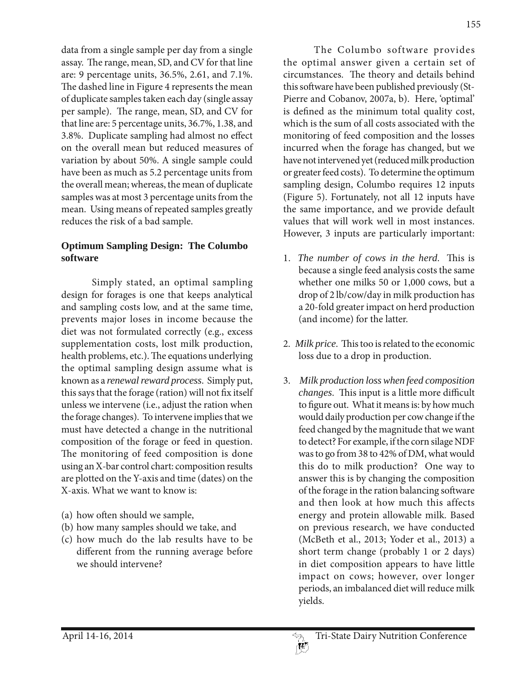data from a single sample per day from a single assay. The range, mean, SD, and CV for that line are: 9 percentage units, 36.5%, 2.61, and 7.1%. The dashed line in Figure 4 represents the mean of duplicate samples taken each day (single assay per sample). The range, mean, SD, and CV for that line are: 5 percentage units, 36.7%, 1.38, and 3.8%. Duplicate sampling had almost no effect on the overall mean but reduced measures of variation by about 50%. A single sample could have been as much as 5.2 percentage units from the overall mean; whereas, the mean of duplicate samples was at most 3 percentage units from the mean. Using means of repeated samples greatly reduces the risk of a bad sample.

# **Optimum Sampling Design: The Columbo software**

Simply stated, an optimal sampling design for forages is one that keeps analytical and sampling costs low, and at the same time, prevents major loses in income because the diet was not formulated correctly (e.g., excess supplementation costs, lost milk production, health problems, etc.). The equations underlying the optimal sampling design assume what is known as a *renewal reward process*. Simply put, this says that the forage (ration) will not fix itself unless we intervene (i.e., adjust the ration when the forage changes). To intervene implies that we must have detected a change in the nutritional composition of the forage or feed in question. The monitoring of feed composition is done using an X-bar control chart: composition results are plotted on the Y-axis and time (dates) on the X-axis. What we want to know is:

- (a) how often should we sample,
- (b) how many samples should we take, and
- (c) how much do the lab results have to be different from the running average before we should intervene?

The Columbo software provides the optimal answer given a certain set of circumstances. The theory and details behind this software have been published previously (St-Pierre and Cobanov, 2007a, b). Here, 'optimal' is defined as the minimum total quality cost, which is the sum of all costs associated with the monitoring of feed composition and the losses incurred when the forage has changed, but we have not intervened yet (reduced milk production or greater feed costs). To determine the optimum sampling design, Columbo requires 12 inputs (Figure 5). Fortunately, not all 12 inputs have the same importance, and we provide default values that will work well in most instances. However, 3 inputs are particularly important:

- 1. *The number of cows in the herd*. This is because a single feed analysis costs the same whether one milks 50 or 1,000 cows, but a drop of 2 lb/cow/day in milk production has a 20-fold greater impact on herd production (and income) for the latter.
- 2. *Milk price*. This too is related to the economic loss due to a drop in production.
- 3. *Milk production loss when feed composition changes*. This input is a little more difficult to figure out. What it means is: by how much would daily production per cow change if the feed changed by the magnitude that we want to detect? For example, if the corn silage NDF was to go from 38 to 42% of DM, what would this do to milk production? One way to answer this is by changing the composition of the forage in the ration balancing software and then look at how much this affects energy and protein allowable milk. Based on previous research, we have conducted (McBeth et al., 2013; Yoder et al., 2013) a short term change (probably 1 or 2 days) in diet composition appears to have little impact on cows; however, over longer periods, an imbalanced diet will reduce milk yields.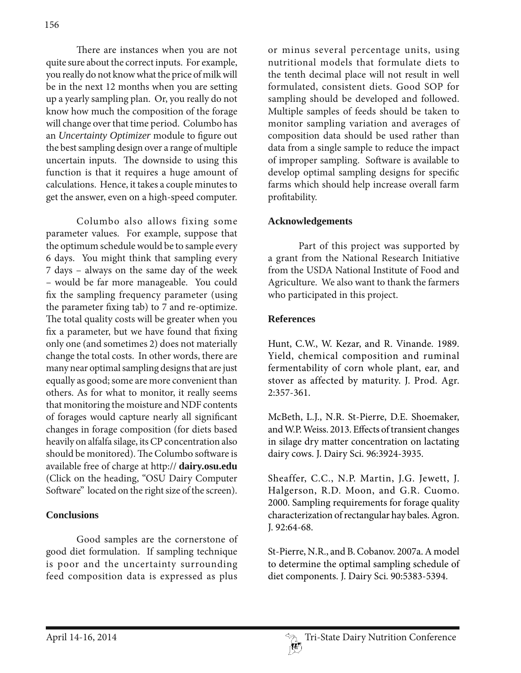There are instances when you are not quite sure about the correct inputs. For example, you really do not know what the price of milk will be in the next 12 months when you are setting up a yearly sampling plan. Or, you really do not know how much the composition of the forage will change over that time period. Columbo has an *Uncertainty Optimizer* module to figure out the best sampling design over a range of multiple uncertain inputs. The downside to using this function is that it requires a huge amount of calculations. Hence, it takes a couple minutes to get the answer, even on a high-speed computer.

Columbo also allows fixing some parameter values. For example, suppose that the optimum schedule would be to sample every 6 days. You might think that sampling every 7 days – always on the same day of the week – would be far more manageable. You could fix the sampling frequency parameter (using the parameter fixing tab) to 7 and re-optimize. The total quality costs will be greater when you fix a parameter, but we have found that fixing only one (and sometimes 2) does not materially change the total costs. In other words, there are many near optimal sampling designs that are just equally as good; some are more convenient than others. As for what to monitor, it really seems that monitoring the moisture and NDF contents of forages would capture nearly all significant changes in forage composition (for diets based heavily on alfalfa silage, its CP concentration also should be monitored). The Columbo software is available free of charge at http:// **dairy.osu.edu** (Click on the heading, "OSU Dairy Computer Software" located on the right size of the screen).

## **Conclusions**

Good samples are the cornerstone of good diet formulation. If sampling technique is poor and the uncertainty surrounding feed composition data is expressed as plus

or minus several percentage units, using nutritional models that formulate diets to the tenth decimal place will not result in well formulated, consistent diets. Good SOP for sampling should be developed and followed. Multiple samples of feeds should be taken to monitor sampling variation and averages of composition data should be used rather than data from a single sample to reduce the impact of improper sampling. Software is available to develop optimal sampling designs for specific farms which should help increase overall farm profitability.

# **Acknowledgements**

Part of this project was supported by a grant from the National Research Initiative from the USDA National Institute of Food and Agriculture. We also want to thank the farmers who participated in this project.

# **References**

Hunt, C.W., W. Kezar, and R. Vinande. 1989. Yield, chemical composition and ruminal fermentability of corn whole plant, ear, and stover as affected by maturity. J. Prod. Agr. 2:357-361.

McBeth, L.J., N.R. St-Pierre, D.E. Shoemaker, and W.P. Weiss. 2013. Effects of transient changes in silage dry matter concentration on lactating dairy cows. J. Dairy Sci. 96:3924-3935.

Sheaffer, C.C., N.P. Martin, J.G. Jewett, J. Halgerson, R.D. Moon, and G.R. Cuomo. 2000. Sampling requirements for forage quality characterization of rectangular hay bales. Agron. J. 92:64-68.

St-Pierre, N.R., and B. Cobanov. 2007a. A model to determine the optimal sampling schedule of diet components. J. Dairy Sci. 90:5383-5394.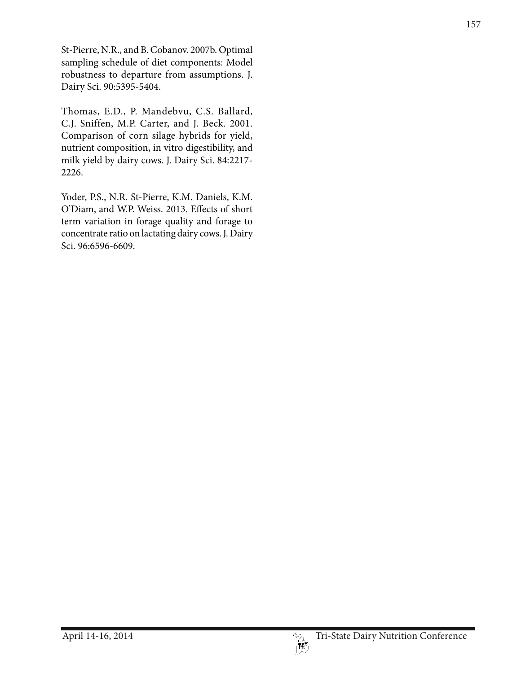St-Pierre, N.R., and B. Cobanov. 2007b. Optimal sampling schedule of diet components: Model robustness to departure from assumptions. J. Dairy Sci. 90:5395-5404.

Thomas, E.D., P. Mandebvu, C.S. Ballard, C.J. Sniffen, M.P. Carter, and J. Beck. 2001. Comparison of corn silage hybrids for yield, nutrient composition, in vitro digestibility, and milk yield by dairy cows. J. Dairy Sci. 84:2217- 2226.

Yoder, P.S., N.R. St-Pierre, K.M. Daniels, K.M. O'Diam, and W.P. Weiss. 2013. Effects of short term variation in forage quality and forage to concentrate ratio on lactating dairy cows. J. Dairy Sci. 96:6596-6609.

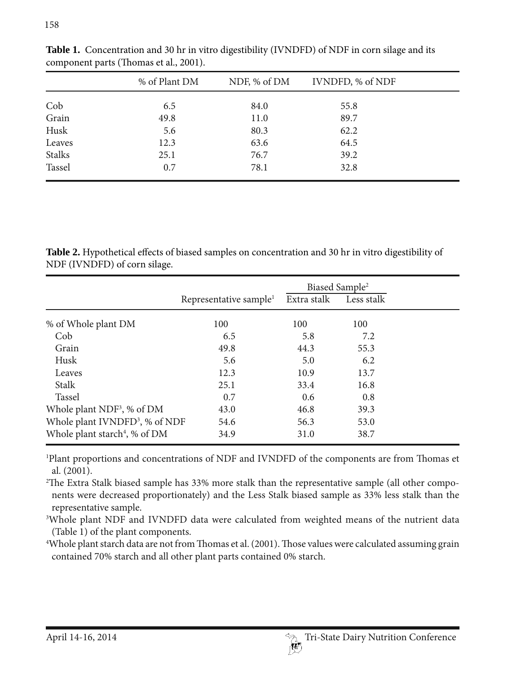|               | % of Plant DM | NDF, % of DM | IVNDFD, % of NDF |  |
|---------------|---------------|--------------|------------------|--|
| Cob           | 6.5           | 84.0         | 55.8             |  |
| Grain         | 49.8          | 11.0         | 89.7             |  |
| Husk          | 5.6           | 80.3         | 62.2             |  |
| Leaves        | 12.3          | 63.6         | 64.5             |  |
| <b>Stalks</b> | 25.1          | 76.7         | 39.2             |  |
| Tassel        | 0.7           | 78.1         | 32.8             |  |

**Table 1.** Concentration and 30 hr in vitro digestibility (IVNDFD) of NDF in corn silage and its component parts (Thomas et al., 2001).

**Table 2.** Hypothetical effects of biased samples on concentration and 30 hr in vitro digestibility of NDF (IVNDFD) of corn silage.

|                                            |                                    | Biased Sample <sup>2</sup> |            |
|--------------------------------------------|------------------------------------|----------------------------|------------|
|                                            | Representative sample <sup>1</sup> | Extra stalk                | Less stalk |
| % of Whole plant DM                        | 100                                | 100                        | 100        |
| Cob                                        | 6.5                                | 5.8                        | 7.2        |
| Grain                                      | 49.8                               | 44.3                       | 55.3       |
| Husk                                       | 5.6                                | 5.0                        | 6.2        |
| Leaves                                     | 12.3                               | 10.9                       | 13.7       |
| <b>Stalk</b>                               | 25.1                               | 33.4                       | 16.8       |
| Tassel                                     | 0.7                                | 0.6                        | 0.8        |
| Whole plant NDF <sup>3</sup> , % of DM     | 43.0                               | 46.8                       | 39.3       |
| Whole plant IVNDFD <sup>3</sup> , % of NDF | 54.6                               | 56.3                       | 53.0       |
| Whole plant starch <sup>4</sup> , % of DM  | 34.9                               | 31.0                       | 38.7       |

1 Plant proportions and concentrations of NDF and IVNDFD of the components are from Thomas et al. (2001).

2 The Extra Stalk biased sample has 33% more stalk than the representative sample (all other components were decreased proportionately) and the Less Stalk biased sample as 33% less stalk than the representative sample.

3 Whole plant NDF and IVNDFD data were calculated from weighted means of the nutrient data (Table 1) of the plant components.

4 Whole plant starch data are not from Thomas et al. (2001). Those values were calculated assuming grain contained 70% starch and all other plant parts contained 0% starch.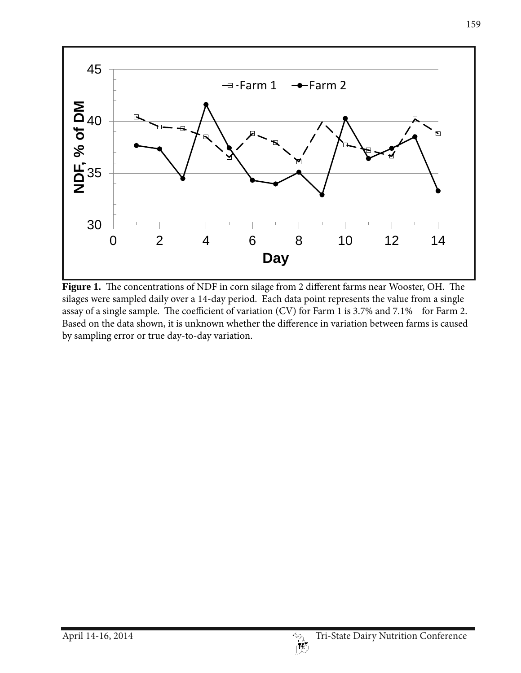

**Figure 1.** The concentrations of NDF in corn silage from 2 different farms near Wooster, OH. The silages were sampled daily over a 14-day period. Each data point represents the value from a single assay of a single sample. The coefficient of variation (CV) for Farm 1 is 3.7% and 7.1% for Farm 2. Based on the data shown, it is unknown whether the difference in variation between farms is caused by sampling error or true day-to-day variation.

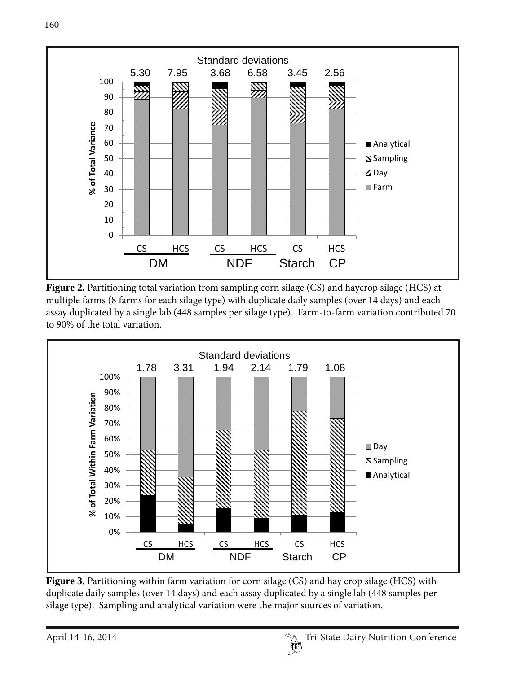





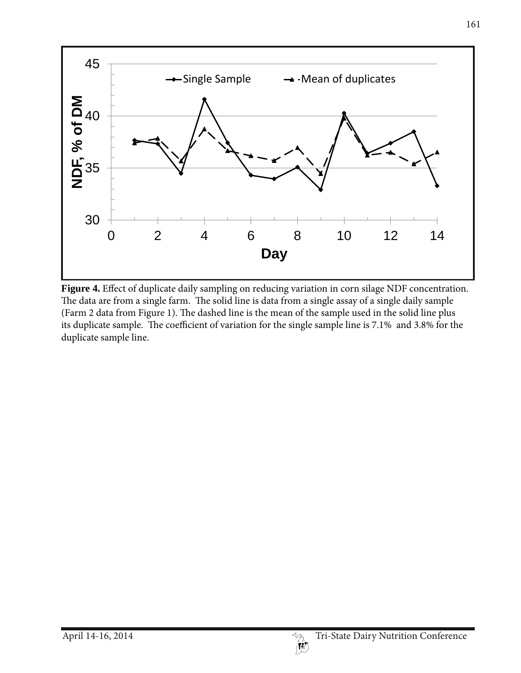

**Figure 4.** Effect of duplicate daily sampling on reducing variation in corn silage NDF concentration. The data are from a single farm. The solid line is data from a single assay of a single daily sample (Farm 2 data from Figure 1). The dashed line is the mean of the sample used in the solid line plus its duplicate sample. The coefficient of variation for the single sample line is 7.1% and 3.8% for the duplicate sample line.